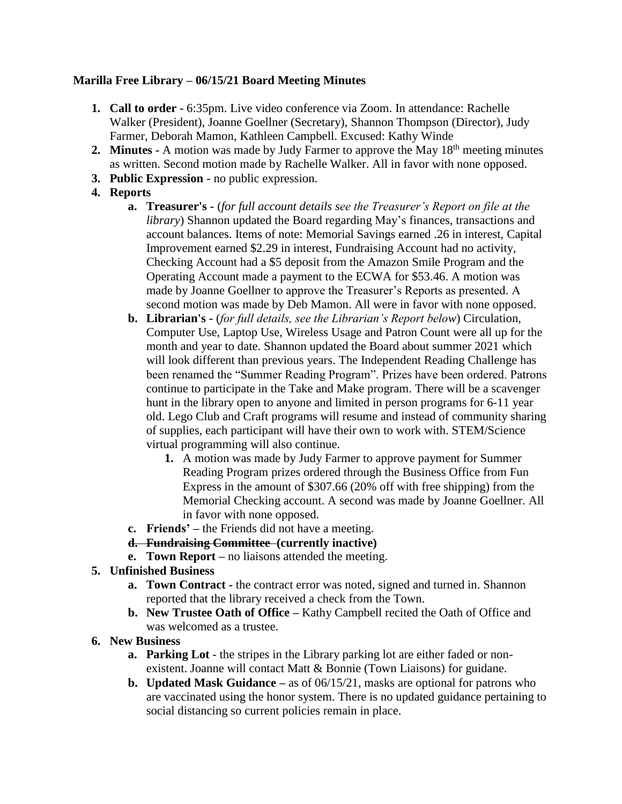# **Marilla Free Library – 06/15/21 Board Meeting Minutes**

- **1. Call to order -** 6:35pm. Live video conference via Zoom. In attendance: Rachelle Walker (President), Joanne Goellner (Secretary), Shannon Thompson (Director), Judy Farmer, Deborah Mamon, Kathleen Campbell. Excused: Kathy Winde
- **2. Minutes -** A motion was made by Judy Farmer to approve the May 18<sup>th</sup> meeting minutes as written. Second motion made by Rachelle Walker. All in favor with none opposed.
- **3. Public Expression -** no public expression.
- **4. Reports**
	- **a. Treasurer's -** (*for full account details see the Treasurer's Report on file at the library*) Shannon updated the Board regarding May's finances, transactions and account balances. Items of note: Memorial Savings earned .26 in interest, Capital Improvement earned \$2.29 in interest, Fundraising Account had no activity, Checking Account had a \$5 deposit from the Amazon Smile Program and the Operating Account made a payment to the ECWA for \$53.46. A motion was made by Joanne Goellner to approve the Treasurer's Reports as presented. A second motion was made by Deb Mamon. All were in favor with none opposed.
	- **b. Librarian's -** (*for full details, see the Librarian's Report below*) Circulation, Computer Use, Laptop Use, Wireless Usage and Patron Count were all up for the month and year to date. Shannon updated the Board about summer 2021 which will look different than previous years. The Independent Reading Challenge has been renamed the "Summer Reading Program". Prizes have been ordered. Patrons continue to participate in the Take and Make program. There will be a scavenger hunt in the library open to anyone and limited in person programs for 6-11 year old. Lego Club and Craft programs will resume and instead of community sharing of supplies, each participant will have their own to work with. STEM/Science virtual programming will also continue.
		- **1.** A motion was made by Judy Farmer to approve payment for Summer Reading Program prizes ordered through the Business Office from Fun Express in the amount of \$307.66 (20% off with free shipping) from the Memorial Checking account. A second was made by Joanne Goellner. All in favor with none opposed.
	- **c. Friends' –** the Friends did not have a meeting.
	- **d. Fundraising Committee (currently inactive)**
	- **e. Town Report –** no liaisons attended the meeting.

# **5. Unfinished Business**

- **a. Town Contract -** the contract error was noted, signed and turned in. Shannon reported that the library received a check from the Town.
- **b. New Trustee Oath of Office –** Kathy Campbell recited the Oath of Office and was welcomed as a trustee.
- **6. New Business**
	- **a. Parking Lot** the stripes in the Library parking lot are either faded or nonexistent. Joanne will contact Matt & Bonnie (Town Liaisons) for guidane.
	- **b. Updated Mask Guidance –** as of 06/15/21, masks are optional for patrons who are vaccinated using the honor system. There is no updated guidance pertaining to social distancing so current policies remain in place.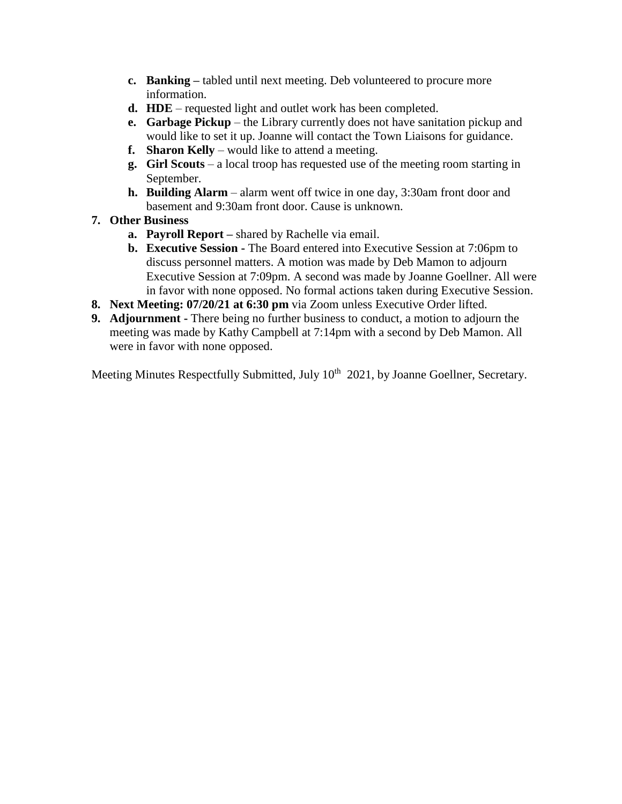- **c. Banking –** tabled until next meeting. Deb volunteered to procure more information.
- **d. HDE**  requested light and outlet work has been completed.
- **e. Garbage Pickup** the Library currently does not have sanitation pickup and would like to set it up. Joanne will contact the Town Liaisons for guidance.
- **f. Sharon Kelly** would like to attend a meeting.
- **g. Girl Scouts**  a local troop has requested use of the meeting room starting in September.
- **h. Building Alarm**  alarm went off twice in one day, 3:30am front door and basement and 9:30am front door. Cause is unknown.
- **7. Other Business** 
	- **a. Payroll Report –** shared by Rachelle via email.
	- **b. Executive Session -** The Board entered into Executive Session at 7:06pm to discuss personnel matters. A motion was made by Deb Mamon to adjourn Executive Session at 7:09pm. A second was made by Joanne Goellner. All were in favor with none opposed. No formal actions taken during Executive Session.
- **8. Next Meeting: 07/20/21 at 6:30 pm** via Zoom unless Executive Order lifted.
- **9. Adjournment -** There being no further business to conduct, a motion to adjourn the meeting was made by Kathy Campbell at 7:14pm with a second by Deb Mamon. All were in favor with none opposed.

Meeting Minutes Respectfully Submitted, July 10<sup>th</sup> 2021, by Joanne Goellner, Secretary.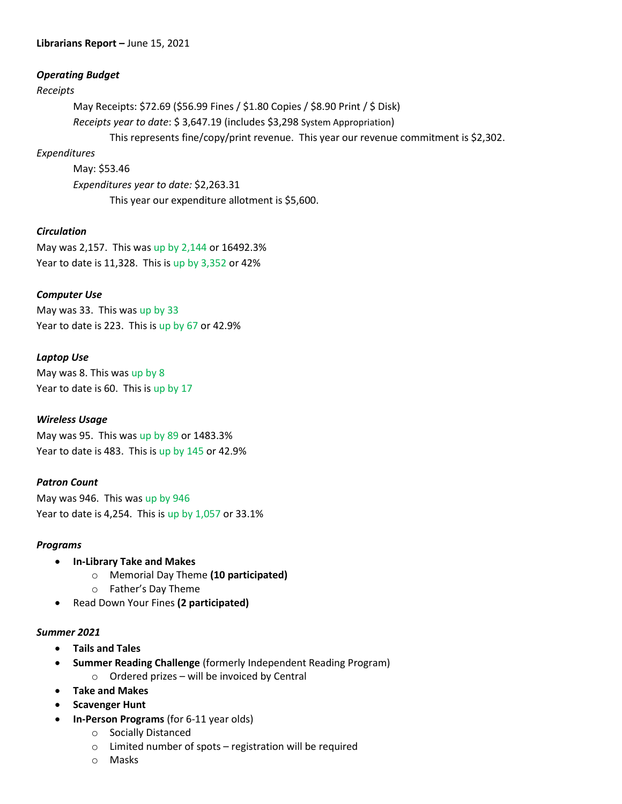### **Librarians Report –** June 15, 2021

## *Operating Budget*

#### *Receipts*

May Receipts: \$72.69 (\$56.99 Fines / \$1.80 Copies / \$8.90 Print / \$ Disk) *Receipts year to date*: \$ 3,647.19 (includes \$3,298 System Appropriation) This represents fine/copy/print revenue. This year our revenue commitment is \$2,302.

## *Expenditures*

May: \$53.46 *Expenditures year to date:* \$2,263.31 This year our expenditure allotment is \$5,600.

## *Circulation*

May was 2,157. This was up by 2,144 or 16492.3% Year to date is 11,328. This is up by 3,352 or 42%

## *Computer Use*

May was 33. This was up by 33 Year to date is 223. This is up by 67 or 42.9%

## *Laptop Use*

May was 8. This was up by 8 Year to date is 60. This is up by 17

#### *Wireless Usage*

May was 95. This was up by 89 or 1483.3% Year to date is 483. This is up by 145 or 42.9%

#### *Patron Count*

May was 946. This was up by 946 Year to date is 4,254. This is up by 1,057 or 33.1%

#### *Programs*

- **In-Library Take and Makes**
	- o Memorial Day Theme **(10 participated)**
	- o Father's Day Theme
- Read Down Your Fines **(2 participated)**

#### *Summer 2021*

- **Tails and Tales**
- **Summer Reading Challenge** (formerly Independent Reading Program)
	- $\circ$  Ordered prizes will be invoiced by Central
- **Take and Makes**
- **Scavenger Hunt**
- **In-Person Programs** (for 6-11 year olds)
	- o Socially Distanced
	- o Limited number of spots registration will be required
	- o Masks